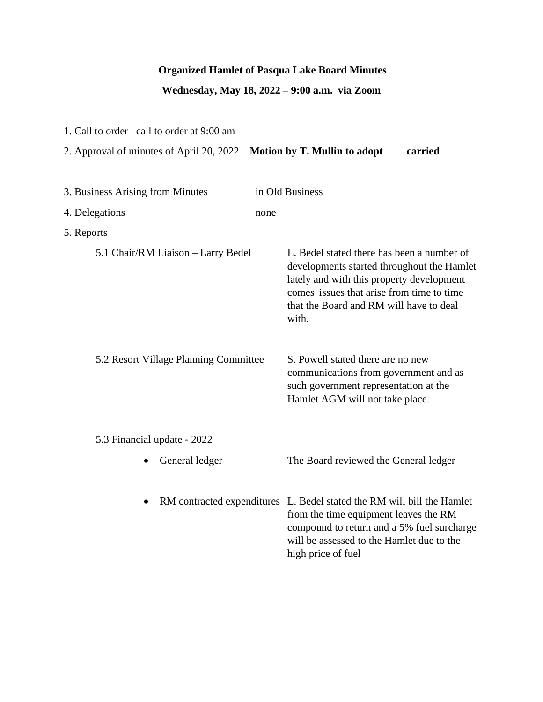## **Organized Hamlet of Pasqua Lake Board Minutes**

# **Wednesday, May 18, 2022 – 9:00 a.m. via Zoom**

1. Call to order call to order at 9:00 am

| 2. Approval of minutes of April 20, 2022           | Motion by T. Mullin to adopt<br>carried                                                                                                                                                                                                |
|----------------------------------------------------|----------------------------------------------------------------------------------------------------------------------------------------------------------------------------------------------------------------------------------------|
| 3. Business Arising from Minutes<br>4. Delegations | in Old Business<br>none                                                                                                                                                                                                                |
| 5. Reports                                         |                                                                                                                                                                                                                                        |
| 5.1 Chair/RM Liaison - Larry Bedel                 | L. Bedel stated there has been a number of<br>developments started throughout the Hamlet<br>lately and with this property development<br>comes issues that arise from time to time<br>that the Board and RM will have to deal<br>with. |
| 5.2 Resort Village Planning Committee              | S. Powell stated there are no new<br>communications from government and as<br>such government representation at the<br>Hamlet AGM will not take place.                                                                                 |
| 5.3 Financial update - 2022                        |                                                                                                                                                                                                                                        |
| General ledger                                     | The Board reviewed the General ledger                                                                                                                                                                                                  |
| $\bullet$                                          | RM contracted expenditures L. Bedel stated the RM will bill the Hamlet<br>from the time equipment leaves the RM<br>compound to return and a 5% fuel surcharge<br>will be assessed to the Hamlet due to the<br>high price of fuel       |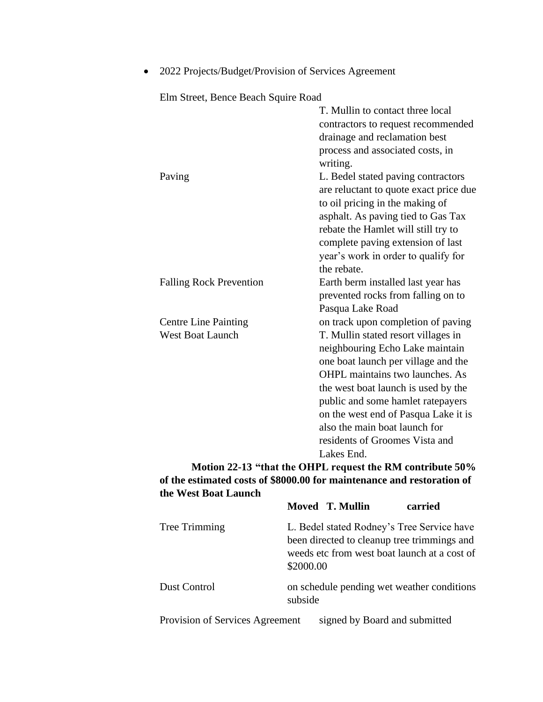| ETHI STEEL, DETCE DEACH SQUITE NOACH |                                        |
|--------------------------------------|----------------------------------------|
|                                      | T. Mullin to contact three local       |
|                                      | contractors to request recommended     |
|                                      | drainage and reclamation best          |
|                                      | process and associated costs, in       |
|                                      | writing.                               |
| Paving                               | L. Bedel stated paving contractors     |
|                                      | are reluctant to quote exact price due |
|                                      | to oil pricing in the making of        |
|                                      | asphalt. As paving tied to Gas Tax     |
|                                      | rebate the Hamlet will still try to    |
|                                      | complete paving extension of last      |
|                                      | year's work in order to qualify for    |
|                                      | the rebate.                            |
| <b>Falling Rock Prevention</b>       | Earth berm installed last year has     |
|                                      | prevented rocks from falling on to     |
|                                      | Pasqua Lake Road                       |
| <b>Centre Line Painting</b>          | on track upon completion of paving     |
| <b>West Boat Launch</b>              | T. Mullin stated resort villages in    |
|                                      | neighbouring Echo Lake maintain        |
|                                      | one boat launch per village and the    |
|                                      | <b>OHPL</b> maintains two launches. As |
|                                      | the west boat launch is used by the    |
|                                      | public and some hamlet ratepayers      |
|                                      | on the west end of Pasqua Lake it is   |
|                                      | also the main boat launch for          |
|                                      | residents of Groomes Vista and         |
|                                      | Lakes End.                             |
|                                      |                                        |

• 2022 Projects/Budget/Provision of Services Agreement

Elm Street, Bence Beach Squire Road

**Motion 22-13 "that the OHPL request the RM contribute 50% of the estimated costs of \$8000.00 for maintenance and restoration of the West Boat Launch** 

|                                 |                                                                                                                                                        | Moved T. Mullin | carried                       |
|---------------------------------|--------------------------------------------------------------------------------------------------------------------------------------------------------|-----------------|-------------------------------|
| Tree Trimming                   | L. Bedel stated Rodney's Tree Service have<br>been directed to cleanup tree trimmings and<br>weeds etc from west boat launch at a cost of<br>\$2000.00 |                 |                               |
| Dust Control                    | on schedule pending wet weather conditions<br>subside                                                                                                  |                 |                               |
| Provision of Services Agreement |                                                                                                                                                        |                 | signed by Board and submitted |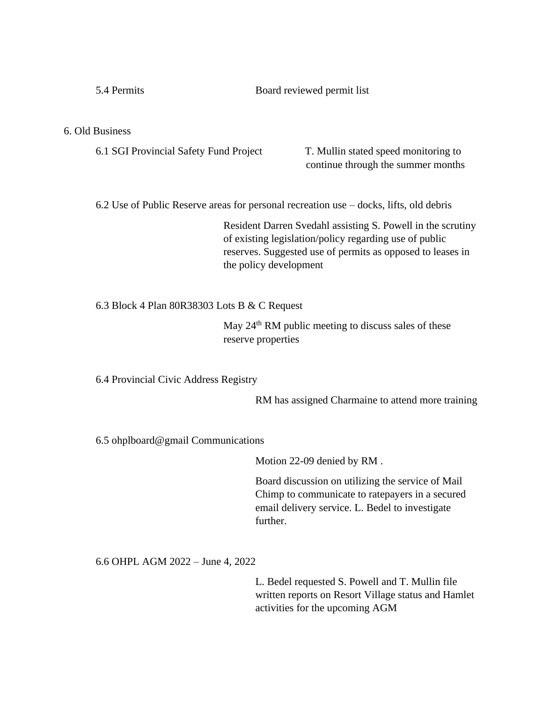| 5.4 Permits | Board reviewed permit list |
|-------------|----------------------------|
|             |                            |

#### 6. Old Business

6.1 SGI Provincial Safety Fund Project T. Mullin stated speed monitoring to

continue through the summer months

6.2 Use of Public Reserve areas for personal recreation use – docks, lifts, old debris

Resident Darren Svedahl assisting S. Powell in the scrutiny of existing legislation/policy regarding use of public reserves. Suggested use of permits as opposed to leases in the policy development

6.3 Block 4 Plan 80R38303 Lots B & C Request

May 24<sup>th</sup> RM public meeting to discuss sales of these reserve properties

6.4 Provincial Civic Address Registry

RM has assigned Charmaine to attend more training

6.5 ohplboard@gmail Communications

Motion 22-09 denied by RM .

Board discussion on utilizing the service of Mail Chimp to communicate to ratepayers in a secured email delivery service. L. Bedel to investigate further.

6.6 OHPL AGM 2022 – June 4, 2022

L. Bedel requested S. Powell and T. Mullin file written reports on Resort Village status and Hamlet activities for the upcoming AGM